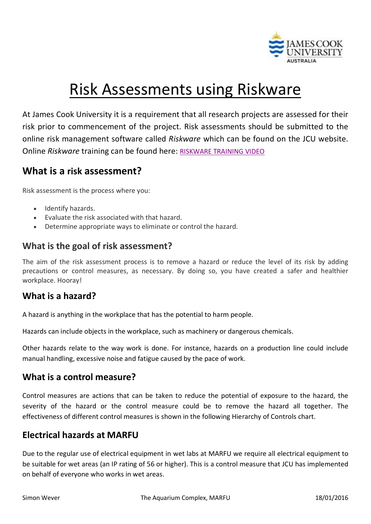

# Risk Assessments using Riskware

At James Cook University it is a requirement that all research projects are assessed for their risk prior to commencement of the project. Risk assessments should be submitted to the online risk management software called *Riskware* which can be found on the JCU website. Online *Riskware* training can be found here: [RISKWARE TRAINING VIDEO](https://www.jcu.edu.au/work-health-and-safety/training/riskware-training-modules/how-to-create-a-risk-assessment)

# **What is a risk assessment?**

Risk assessment is the process where you:

- Identify hazards.
- Evaluate the risk associated with that hazard.
- Determine appropriate ways to eliminate or control the hazard.

#### **What is the goal of risk assessment?**

The aim of the risk assessment process is to remove a hazard or reduce the level of its risk by adding precautions or control measures, as necessary. By doing so, you have created a safer and healthier workplace. Hooray!

#### **What is a hazard?**

A hazard is anything in the workplace that has the potential to harm people.

Hazards can include objects in the workplace, such as machinery or dangerous chemicals.

Other hazards relate to the way work is done. For instance, hazards on a production line could include manual handling, excessive noise and fatigue caused by the pace of work.

## **What is a control measure?**

Control measures are actions that can be taken to reduce the potential of exposure to the hazard, the severity of the hazard or the control measure could be to remove the hazard all together. The effectiveness of different control measures is shown in the following Hierarchy of Controls chart.

## **Electrical hazards at MARFU**

Due to the regular use of electrical equipment in wet labs at MARFU we require all electrical equipment to be suitable for wet areas (an IP rating of 56 or higher). This is a control measure that JCU has implemented on behalf of everyone who works in wet areas.